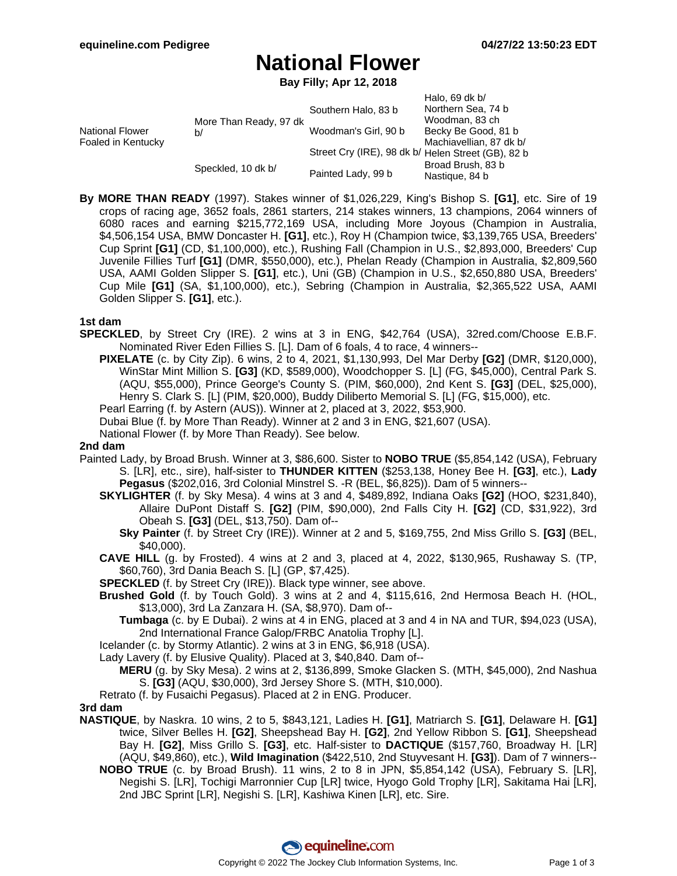# **National Flower**

**Bay Filly; Apr 12, 2018**

| <b>National Flower</b><br>Foaled in Kentucky | More Than Ready, 97 dk<br>b/ | Southern Halo, 83 b                                | Halo, 69 dk $b/$<br>Northern Sea, 74 b<br>Woodman, 83 ch |
|----------------------------------------------|------------------------------|----------------------------------------------------|----------------------------------------------------------|
|                                              |                              | Woodman's Girl, 90 b                               | Becky Be Good, 81 b                                      |
|                                              |                              | Street Cry (IRE), 98 dk b/ Helen Street (GB), 82 b | Machiavellian, 87 dk b/                                  |
|                                              | Speckled, 10 dk b/           | Painted Lady, 99 b                                 | Broad Brush, 83 b<br>Nastique, 84 b                      |

**By MORE THAN READY** (1997). Stakes winner of \$1,026,229, King's Bishop S. **[G1]**, etc. Sire of 19 crops of racing age, 3652 foals, 2861 starters, 214 stakes winners, 13 champions, 2064 winners of 6080 races and earning \$215,772,169 USA, including More Joyous (Champion in Australia, \$4,506,154 USA, BMW Doncaster H. **[G1]**, etc.), Roy H (Champion twice, \$3,139,765 USA, Breeders' Cup Sprint **[G1]** (CD, \$1,100,000), etc.), Rushing Fall (Champion in U.S., \$2,893,000, Breeders' Cup Juvenile Fillies Turf **[G1]** (DMR, \$550,000), etc.), Phelan Ready (Champion in Australia, \$2,809,560 USA, AAMI Golden Slipper S. **[G1]**, etc.), Uni (GB) (Champion in U.S., \$2,650,880 USA, Breeders' Cup Mile **[G1]** (SA, \$1,100,000), etc.), Sebring (Champion in Australia, \$2,365,522 USA, AAMI Golden Slipper S. **[G1]**, etc.).

### **1st dam**

- **SPECKLED**, by Street Cry (IRE). 2 wins at 3 in ENG, \$42,764 (USA), 32red.com/Choose E.B.F. Nominated River Eden Fillies S. [L]. Dam of 6 foals, 4 to race, 4 winners--
	- **PIXELATE** (c. by City Zip). 6 wins, 2 to 4, 2021, \$1,130,993, Del Mar Derby **[G2]** (DMR, \$120,000), WinStar Mint Million S. **[G3]** (KD, \$589,000), Woodchopper S. [L] (FG, \$45,000), Central Park S. (AQU, \$55,000), Prince George's County S. (PIM, \$60,000), 2nd Kent S. **[G3]** (DEL, \$25,000), Henry S. Clark S. [L] (PIM, \$20,000), Buddy Diliberto Memorial S. [L] (FG, \$15,000), etc.

Pearl Earring (f. by Astern (AUS)). Winner at 2, placed at 3, 2022, \$53,900.

- Dubai Blue (f. by More Than Ready). Winner at 2 and 3 in ENG, \$21,607 (USA).
- National Flower (f. by More Than Ready). See below.

### **2nd dam**

- Painted Lady, by Broad Brush. Winner at 3, \$86,600. Sister to **NOBO TRUE** (\$5,854,142 (USA), February S. [LR], etc., sire), half-sister to **THUNDER KITTEN** (\$253,138, Honey Bee H. **[G3]**, etc.), **Lady Pegasus** (\$202,016, 3rd Colonial Minstrel S. -R (BEL, \$6,825)). Dam of 5 winners--
	- **SKYLIGHTER** (f. by Sky Mesa). 4 wins at 3 and 4, \$489,892, Indiana Oaks **[G2]** (HOO, \$231,840), Allaire DuPont Distaff S. **[G2]** (PIM, \$90,000), 2nd Falls City H. **[G2]** (CD, \$31,922), 3rd Obeah S. **[G3]** (DEL, \$13,750). Dam of--
		- **Sky Painter** (f. by Street Cry (IRE)). Winner at 2 and 5, \$169,755, 2nd Miss Grillo S. **[G3]** (BEL, \$40,000).
	- **CAVE HILL** (g. by Frosted). 4 wins at 2 and 3, placed at 4, 2022, \$130,965, Rushaway S. (TP, \$60,760), 3rd Dania Beach S. [L] (GP, \$7,425).
	- **SPECKLED** (f. by Street Cry (IRE)). Black type winner, see above.
	- **Brushed Gold** (f. by Touch Gold). 3 wins at 2 and 4, \$115,616, 2nd Hermosa Beach H. (HOL, \$13,000), 3rd La Zanzara H. (SA, \$8,970). Dam of--
		- **Tumbaga** (c. by E Dubai). 2 wins at 4 in ENG, placed at 3 and 4 in NA and TUR, \$94,023 (USA), 2nd International France Galop/FRBC Anatolia Trophy [L].
	- Icelander (c. by Stormy Atlantic). 2 wins at 3 in ENG, \$6,918 (USA).
	- Lady Lavery (f. by Elusive Quality). Placed at 3, \$40,840. Dam of--
		- **MERU** (g. by Sky Mesa). 2 wins at 2, \$136,899, Smoke Glacken S. (MTH, \$45,000), 2nd Nashua S. **[G3]** (AQU, \$30,000), 3rd Jersey Shore S. (MTH, \$10,000).
	- Retrato (f. by Fusaichi Pegasus). Placed at 2 in ENG. Producer.

### **3rd dam**

- **NASTIQUE**, by Naskra. 10 wins, 2 to 5, \$843,121, Ladies H. **[G1]**, Matriarch S. **[G1]**, Delaware H. **[G1]** twice, Silver Belles H. **[G2]**, Sheepshead Bay H. **[G2]**, 2nd Yellow Ribbon S. **[G1]**, Sheepshead Bay H. **[G2]**, Miss Grillo S. **[G3]**, etc. Half-sister to **DACTIQUE** (\$157,760, Broadway H. [LR] (AQU, \$49,860), etc.), **Wild Imagination** (\$422,510, 2nd Stuyvesant H. **[G3]**). Dam of 7 winners--
	- **NOBO TRUE** (c. by Broad Brush). 11 wins, 2 to 8 in JPN, \$5,854,142 (USA), February S. [LR], Negishi S. [LR], Tochigi Marronnier Cup [LR] twice, Hyogo Gold Trophy [LR], Sakitama Hai [LR], 2nd JBC Sprint [LR], Negishi S. [LR], Kashiwa Kinen [LR], etc. Sire.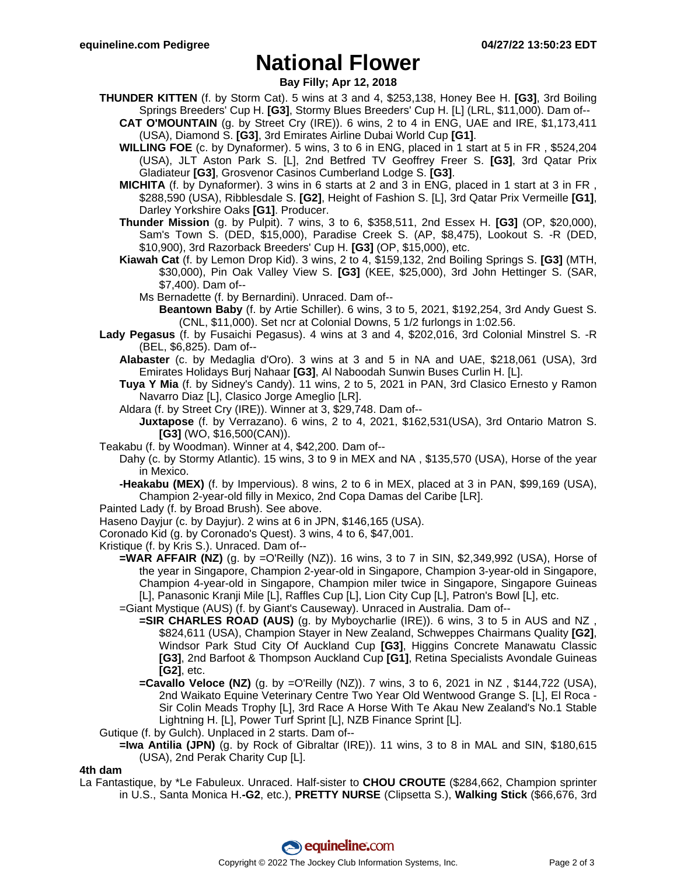## **National Flower**

### **Bay Filly; Apr 12, 2018**

- **THUNDER KITTEN** (f. by Storm Cat). 5 wins at 3 and 4, \$253,138, Honey Bee H. **[G3]**, 3rd Boiling Springs Breeders' Cup H. **[G3]**, Stormy Blues Breeders' Cup H. [L] (LRL, \$11,000). Dam of--
	- **CAT O'MOUNTAIN** (g. by Street Cry (IRE)). 6 wins, 2 to 4 in ENG, UAE and IRE, \$1,173,411 (USA), Diamond S. **[G3]**, 3rd Emirates Airline Dubai World Cup **[G1]**.
	- **WILLING FOE** (c. by Dynaformer). 5 wins, 3 to 6 in ENG, placed in 1 start at 5 in FR , \$524,204 (USA), JLT Aston Park S. [L], 2nd Betfred TV Geoffrey Freer S. **[G3]**, 3rd Qatar Prix Gladiateur **[G3]**, Grosvenor Casinos Cumberland Lodge S. **[G3]**.
	- **MICHITA** (f. by Dynaformer). 3 wins in 6 starts at 2 and 3 in ENG, placed in 1 start at 3 in FR , \$288,590 (USA), Ribblesdale S. **[G2]**, Height of Fashion S. [L], 3rd Qatar Prix Vermeille **[G1]**, Darley Yorkshire Oaks **[G1]**. Producer.
	- **Thunder Mission** (g. by Pulpit). 7 wins, 3 to 6, \$358,511, 2nd Essex H. **[G3]** (OP, \$20,000), Sam's Town S. (DED, \$15,000), Paradise Creek S. (AP, \$8,475), Lookout S. -R (DED, \$10,900), 3rd Razorback Breeders' Cup H. **[G3]** (OP, \$15,000), etc.
	- **Kiawah Cat** (f. by Lemon Drop Kid). 3 wins, 2 to 4, \$159,132, 2nd Boiling Springs S. **[G3]** (MTH, \$30,000), Pin Oak Valley View S. **[G3]** (KEE, \$25,000), 3rd John Hettinger S. (SAR, \$7,400). Dam of--
		- Ms Bernadette (f. by Bernardini). Unraced. Dam of--
			- **Beantown Baby** (f. by Artie Schiller). 6 wins, 3 to 5, 2021, \$192,254, 3rd Andy Guest S. (CNL, \$11,000). Set ncr at Colonial Downs, 5 1/2 furlongs in 1:02.56.
- **Lady Pegasus** (f. by Fusaichi Pegasus). 4 wins at 3 and 4, \$202,016, 3rd Colonial Minstrel S. -R (BEL, \$6,825). Dam of--
	- **Alabaster** (c. by Medaglia d'Oro). 3 wins at 3 and 5 in NA and UAE, \$218,061 (USA), 3rd Emirates Holidays Burj Nahaar **[G3]**, Al Naboodah Sunwin Buses Curlin H. [L].
	- **Tuya Y Mia** (f. by Sidney's Candy). 11 wins, 2 to 5, 2021 in PAN, 3rd Clasico Ernesto y Ramon Navarro Diaz [L], Clasico Jorge Ameglio [LR].
	- Aldara (f. by Street Cry (IRE)). Winner at 3, \$29,748. Dam of--
		- **Juxtapose** (f. by Verrazano). 6 wins, 2 to 4, 2021, \$162,531(USA), 3rd Ontario Matron S. **[G3]** (WO, \$16,500(CAN)).
- Teakabu (f. by Woodman). Winner at 4, \$42,200. Dam of--
	- Dahy (c. by Stormy Atlantic). 15 wins, 3 to 9 in MEX and NA , \$135,570 (USA), Horse of the year in Mexico.
		- **-Heakabu (MEX)** (f. by Impervious). 8 wins, 2 to 6 in MEX, placed at 3 in PAN, \$99,169 (USA), Champion 2-year-old filly in Mexico, 2nd Copa Damas del Caribe [LR].
- Painted Lady (f. by Broad Brush). See above.
- Haseno Dayjur (c. by Dayjur). 2 wins at 6 in JPN, \$146,165 (USA).
- Coronado Kid (g. by Coronado's Quest). 3 wins, 4 to 6, \$47,001.
- Kristique (f. by Kris S.). Unraced. Dam of--
	- **=WAR AFFAIR (NZ)** (g. by =O'Reilly (NZ)). 16 wins, 3 to 7 in SIN, \$2,349,992 (USA), Horse of the year in Singapore, Champion 2-year-old in Singapore, Champion 3-year-old in Singapore, Champion 4-year-old in Singapore, Champion miler twice in Singapore, Singapore Guineas [L], Panasonic Kranji Mile [L], Raffles Cup [L], Lion City Cup [L], Patron's Bowl [L], etc.
	- =Giant Mystique (AUS) (f. by Giant's Causeway). Unraced in Australia. Dam of--
		- **=SIR CHARLES ROAD (AUS)** (g. by Myboycharlie (IRE)). 6 wins, 3 to 5 in AUS and NZ , \$824,611 (USA), Champion Stayer in New Zealand, Schweppes Chairmans Quality **[G2]**, Windsor Park Stud City Of Auckland Cup **[G3]**, Higgins Concrete Manawatu Classic **[G3]**, 2nd Barfoot & Thompson Auckland Cup **[G1]**, Retina Specialists Avondale Guineas **[G2]**, etc.
		- **=Cavallo Veloce (NZ)** (g. by =O'Reilly (NZ)). 7 wins, 3 to 6, 2021 in NZ, \$144,722 (USA), 2nd Waikato Equine Veterinary Centre Two Year Old Wentwood Grange S. [L], El Roca - Sir Colin Meads Trophy [L], 3rd Race A Horse With Te Akau New Zealand's No.1 Stable Lightning H. [L], Power Turf Sprint [L], NZB Finance Sprint [L].
- Gutique (f. by Gulch). Unplaced in 2 starts. Dam of--
	- **=Iwa Antilia (JPN)** (g. by Rock of Gibraltar (IRE)). 11 wins, 3 to 8 in MAL and SIN, \$180,615 (USA), 2nd Perak Charity Cup [L].

### **4th dam**

La Fantastique, by \*Le Fabuleux. Unraced. Half-sister to **CHOU CROUTE** (\$284,662, Champion sprinter in U.S., Santa Monica H.**-G2**, etc.), **PRETTY NURSE** (Clipsetta S.), **Walking Stick** (\$66,676, 3rd